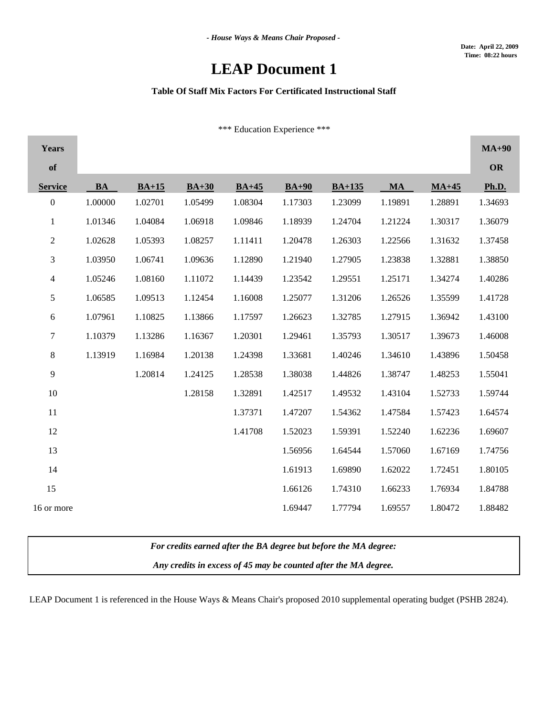# **LEAP Document 1**

### **Table Of Staff Mix Factors For Certificated Instructional Staff**

\*\*\* Education Experience \*\*\*

| Years            |           |         |         |         |         |          |           |         | $MA+90$   |
|------------------|-----------|---------|---------|---------|---------|----------|-----------|---------|-----------|
| of               |           |         |         |         |         |          |           |         | <b>OR</b> |
| <b>Service</b>   | <b>BA</b> | $BA+15$ | $BA+30$ | $BA+45$ | $BA+90$ | $BA+135$ | <b>MA</b> | $MA+45$ | Ph.D.     |
| $\boldsymbol{0}$ | 1.00000   | 1.02701 | 1.05499 | 1.08304 | 1.17303 | 1.23099  | 1.19891   | 1.28891 | 1.34693   |
| $\mathbf{1}$     | 1.01346   | 1.04084 | 1.06918 | 1.09846 | 1.18939 | 1.24704  | 1.21224   | 1.30317 | 1.36079   |
| $\overline{c}$   | 1.02628   | 1.05393 | 1.08257 | 1.11411 | 1.20478 | 1.26303  | 1.22566   | 1.31632 | 1.37458   |
| 3                | 1.03950   | 1.06741 | 1.09636 | 1.12890 | 1.21940 | 1.27905  | 1.23838   | 1.32881 | 1.38850   |
| $\overline{4}$   | 1.05246   | 1.08160 | 1.11072 | 1.14439 | 1.23542 | 1.29551  | 1.25171   | 1.34274 | 1.40286   |
| 5                | 1.06585   | 1.09513 | 1.12454 | 1.16008 | 1.25077 | 1.31206  | 1.26526   | 1.35599 | 1.41728   |
| 6                | 1.07961   | 1.10825 | 1.13866 | 1.17597 | 1.26623 | 1.32785  | 1.27915   | 1.36942 | 1.43100   |
| $\boldsymbol{7}$ | 1.10379   | 1.13286 | 1.16367 | 1.20301 | 1.29461 | 1.35793  | 1.30517   | 1.39673 | 1.46008   |
| 8                | 1.13919   | 1.16984 | 1.20138 | 1.24398 | 1.33681 | 1.40246  | 1.34610   | 1.43896 | 1.50458   |
| 9                |           | 1.20814 | 1.24125 | 1.28538 | 1.38038 | 1.44826  | 1.38747   | 1.48253 | 1.55041   |
| 10               |           |         | 1.28158 | 1.32891 | 1.42517 | 1.49532  | 1.43104   | 1.52733 | 1.59744   |
| 11               |           |         |         | 1.37371 | 1.47207 | 1.54362  | 1.47584   | 1.57423 | 1.64574   |
| 12               |           |         |         | 1.41708 | 1.52023 | 1.59391  | 1.52240   | 1.62236 | 1.69607   |
| 13               |           |         |         |         | 1.56956 | 1.64544  | 1.57060   | 1.67169 | 1.74756   |
| 14               |           |         |         |         | 1.61913 | 1.69890  | 1.62022   | 1.72451 | 1.80105   |
| 15               |           |         |         |         | 1.66126 | 1.74310  | 1.66233   | 1.76934 | 1.84788   |
| 16 or more       |           |         |         |         | 1.69447 | 1.77794  | 1.69557   | 1.80472 | 1.88482   |

*For credits earned after the BA degree but before the MA degree:*

*Any credits in excess of 45 may be counted after the MA degree.*

LEAP Document 1 is referenced in the House Ways & Means Chair's proposed 2010 supplemental operating budget (PSHB 2824).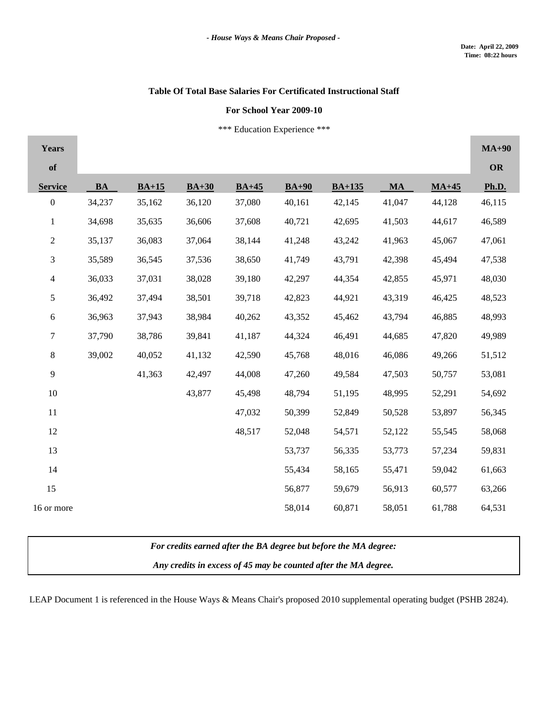m.

## **Table Of Total Base Salaries For Certificated Instructional Staff**

#### **For School Year 2009-10**

\*\*\* Education Experience \*\*\*

| <b>Years</b>     |           |         |         |         |         |          |           |         | $MA+90$   |
|------------------|-----------|---------|---------|---------|---------|----------|-----------|---------|-----------|
| of               |           |         |         |         |         |          |           |         | <b>OR</b> |
| <b>Service</b>   | <b>BA</b> | $BA+15$ | $BA+30$ | $BA+45$ | $BA+90$ | $BA+135$ | <b>MA</b> | $MA+45$ | Ph.D.     |
| $\boldsymbol{0}$ | 34,237    | 35,162  | 36,120  | 37,080  | 40,161  | 42,145   | 41,047    | 44,128  | 46,115    |
| $\mathbf{1}$     | 34,698    | 35,635  | 36,606  | 37,608  | 40,721  | 42,695   | 41,503    | 44,617  | 46,589    |
| $\sqrt{2}$       | 35,137    | 36,083  | 37,064  | 38,144  | 41,248  | 43,242   | 41,963    | 45,067  | 47,061    |
| $\mathfrak{Z}$   | 35,589    | 36,545  | 37,536  | 38,650  | 41,749  | 43,791   | 42,398    | 45,494  | 47,538    |
| $\overline{4}$   | 36,033    | 37,031  | 38,028  | 39,180  | 42,297  | 44,354   | 42,855    | 45,971  | 48,030    |
| 5                | 36,492    | 37,494  | 38,501  | 39,718  | 42,823  | 44,921   | 43,319    | 46,425  | 48,523    |
| $\sqrt{6}$       | 36,963    | 37,943  | 38,984  | 40,262  | 43,352  | 45,462   | 43,794    | 46,885  | 48,993    |
| $\tau$           | 37,790    | 38,786  | 39,841  | 41,187  | 44,324  | 46,491   | 44,685    | 47,820  | 49,989    |
| $\,8\,$          | 39,002    | 40,052  | 41,132  | 42,590  | 45,768  | 48,016   | 46,086    | 49,266  | 51,512    |
| 9                |           | 41,363  | 42,497  | 44,008  | 47,260  | 49,584   | 47,503    | 50,757  | 53,081    |
| 10               |           |         | 43,877  | 45,498  | 48,794  | 51,195   | 48,995    | 52,291  | 54,692    |
| 11               |           |         |         | 47,032  | 50,399  | 52,849   | 50,528    | 53,897  | 56,345    |
| 12               |           |         |         | 48,517  | 52,048  | 54,571   | 52,122    | 55,545  | 58,068    |
| 13               |           |         |         |         | 53,737  | 56,335   | 53,773    | 57,234  | 59,831    |
| 14               |           |         |         |         | 55,434  | 58,165   | 55,471    | 59,042  | 61,663    |
| 15               |           |         |         |         | 56,877  | 59,679   | 56,913    | 60,577  | 63,266    |
| 16 or more       |           |         |         |         | 58,014  | 60,871   | 58,051    | 61,788  | 64,531    |

*For credits earned after the BA degree but before the MA degree:*

*Any credits in excess of 45 may be counted after the MA degree.*

LEAP Document 1 is referenced in the House Ways & Means Chair's proposed 2010 supplemental operating budget (PSHB 2824).